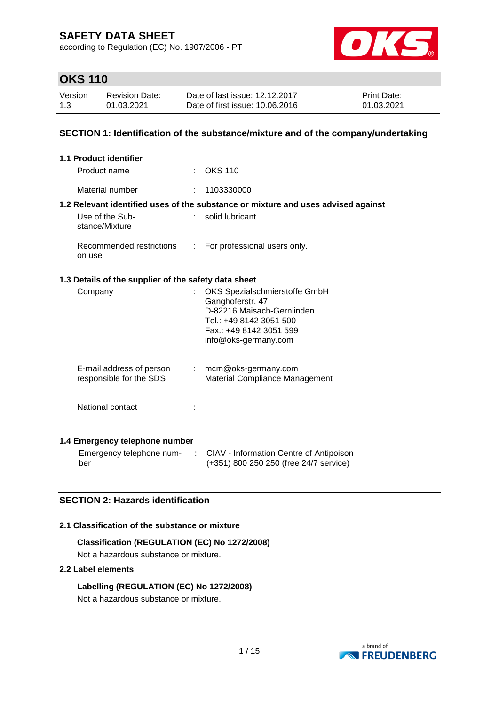according to Regulation (EC) No. 1907/2006 - PT



# **OKS 110**

| Version | <b>Revision Date:</b> | Date of last issue: 12.12.2017  | <b>Print Date:</b> |
|---------|-----------------------|---------------------------------|--------------------|
| 1.3     | 01.03.2021            | Date of first issue: 10.06.2016 | 01.03.2021         |

### **SECTION 1: Identification of the substance/mixture and of the company/undertaking**

| <b>1.1 Product identifier</b>                        |    |                                                                                                                                                               |
|------------------------------------------------------|----|---------------------------------------------------------------------------------------------------------------------------------------------------------------|
| Product name                                         |    | $:$ OKS 110                                                                                                                                                   |
| Material number                                      | t. | 1103330000                                                                                                                                                    |
|                                                      |    | 1.2 Relevant identified uses of the substance or mixture and uses advised against                                                                             |
| Use of the Sub-<br>stance/Mixture                    |    | solid lubricant                                                                                                                                               |
| Recommended restrictions<br>on use                   | t. | For professional users only.                                                                                                                                  |
| 1.3 Details of the supplier of the safety data sheet |    |                                                                                                                                                               |
| Company                                              |    | OKS Spezialschmierstoffe GmbH<br>Ganghoferstr. 47<br>D-82216 Maisach-Gernlinden<br>Tel.: +49 8142 3051 500<br>Fax.: +49 8142 3051 599<br>info@oks-germany.com |
| E-mail address of person<br>responsible for the SDS  | t. | mcm@oks-germany.com<br>Material Compliance Management                                                                                                         |
| National contact                                     |    |                                                                                                                                                               |
|                                                      |    |                                                                                                                                                               |

## **1.4 Emergency telephone number**

Emergency telephone num-: CIAV - Information Centre of Antipoison ber (+351) 800 250 250 (free 24/7 service)

## **SECTION 2: Hazards identification**

### **2.1 Classification of the substance or mixture**

## **Classification (REGULATION (EC) No 1272/2008)**

Not a hazardous substance or mixture.

### **2.2 Label elements**

**Labelling (REGULATION (EC) No 1272/2008)**



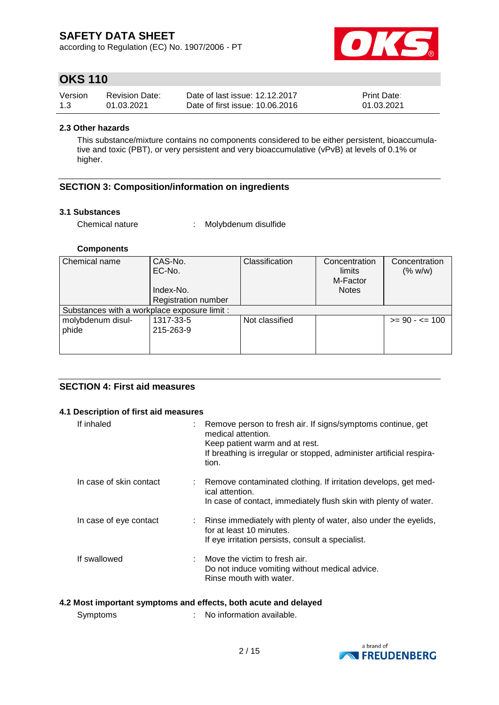according to Regulation (EC) No. 1907/2006 - PT



# **OKS 110**

| Version | <b>Revision Date:</b> | Date of last issue: 12.12.2017  | <b>Print Date:</b> |
|---------|-----------------------|---------------------------------|--------------------|
| 1.3     | 01.03.2021            | Date of first issue: 10.06.2016 | 01.03.2021         |

### **2.3 Other hazards**

This substance/mixture contains no components considered to be either persistent, bioaccumulative and toxic (PBT), or very persistent and very bioaccumulative (vPvB) at levels of 0.1% or higher.

### **SECTION 3: Composition/information on ingredients**

#### **3.1 Substances**

Chemical nature : Molybdenum disulfide

### **Components**

| Chemical name                                | CAS-No.<br>EC-No.          | Classification | Concentration<br>limits<br>M-Factor | Concentration<br>(% w/w) |
|----------------------------------------------|----------------------------|----------------|-------------------------------------|--------------------------|
|                                              | Index-No.                  |                | <b>Notes</b>                        |                          |
|                                              | <b>Registration number</b> |                |                                     |                          |
| Substances with a workplace exposure limit : |                            |                |                                     |                          |
| molybdenum disul-                            | 1317-33-5                  | Not classified |                                     | $>= 90 - 5 = 100$        |
| phide                                        | 215-263-9                  |                |                                     |                          |
|                                              |                            |                |                                     |                          |
|                                              |                            |                |                                     |                          |

### **SECTION 4: First aid measures**

#### **4.1 Description of first aid measures**

| If inhaled              | : Remove person to fresh air. If signs/symptoms continue, get<br>medical attention.<br>Keep patient warm and at rest.<br>If breathing is irregular or stopped, administer artificial respira-<br>tion. |
|-------------------------|--------------------------------------------------------------------------------------------------------------------------------------------------------------------------------------------------------|
| In case of skin contact | : Remove contaminated clothing. If irritation develops, get med-<br>ical attention.<br>In case of contact, immediately flush skin with plenty of water.                                                |
| In case of eye contact  | : Rinse immediately with plenty of water, also under the eyelids,<br>for at least 10 minutes.<br>If eye irritation persists, consult a specialist.                                                     |
| If swallowed            | $\therefore$ Move the victim to fresh air.<br>Do not induce vomiting without medical advice.<br>Rinse mouth with water.                                                                                |

#### **4.2 Most important symptoms and effects, both acute and delayed**

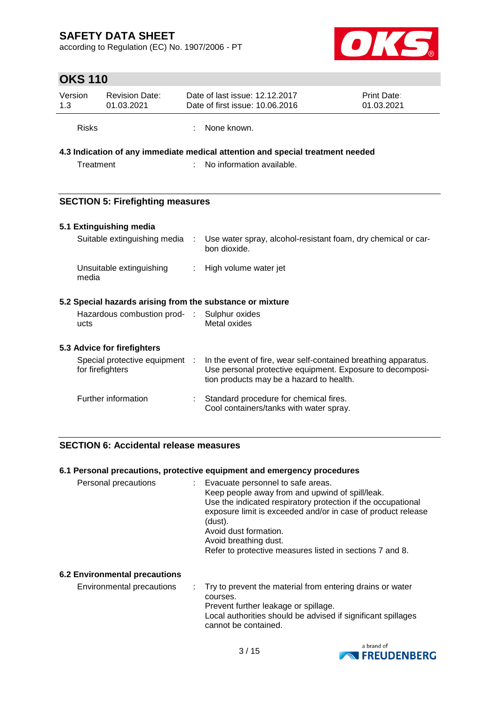according to Regulation (EC) No. 1907/2006 - PT



# **OKS 110**

| Version      | <b>Revision Date:</b> | Date of last issue: 12.12.2017  | <b>Print Date:</b> |
|--------------|-----------------------|---------------------------------|--------------------|
| 1.3          | 01.03.2021            | Date of first issue: 10.06.2016 | 01.03.2021         |
| <b>Risks</b> |                       | : None known.                   |                    |

## **4.3 Indication of any immediate medical attention and special treatment needed**

Treatment : No information available.

## **SECTION 5: Firefighting measures**

#### **5.1 Extinguishing media** Suitable extinguishing media : Use water spray, alcohol-resistant foam, dry chemical or car-

|                          | <u>Julianic CXIII iyulshing mcula           USC walch spray, alcunu-resistant iyahi, ury chchilical ur car-</u><br>bon dioxide. |
|--------------------------|---------------------------------------------------------------------------------------------------------------------------------|
| Unsuitable extinguishing | : High volume water jet                                                                                                         |
|                          | 5.2 Special hazards arising from the substance or mixture                                                                       |
|                          | Hazardous combustion prod- : Sulphur oxides<br>Metal oxides                                                                     |
|                          |                                                                                                                                 |
|                          |                                                                                                                                 |

| Special protective equipment<br>for firefighters | In the event of fire, wear self-contained breathing apparatus.<br>Use personal protective equipment. Exposure to decomposi-<br>tion products may be a hazard to health. |
|--------------------------------------------------|-------------------------------------------------------------------------------------------------------------------------------------------------------------------------|
| Further information                              | Standard procedure for chemical fires.                                                                                                                                  |

| Standard procedure for chemical mest.   |
|-----------------------------------------|
| Cool containers/tanks with water spray. |

### **SECTION 6: Accidental release measures**

### **6.1 Personal precautions, protective equipment and emergency procedures**

| (dust).<br>Avoid dust formation.<br>Avoid breathing dust.<br>Refer to protective measures listed in sections 7 and 8. | Personal precautions |  | Evacuate personnel to safe areas.<br>Keep people away from and upwind of spill/leak.<br>Use the indicated respiratory protection if the occupational<br>exposure limit is exceeded and/or in case of product release |
|-----------------------------------------------------------------------------------------------------------------------|----------------------|--|----------------------------------------------------------------------------------------------------------------------------------------------------------------------------------------------------------------------|
|-----------------------------------------------------------------------------------------------------------------------|----------------------|--|----------------------------------------------------------------------------------------------------------------------------------------------------------------------------------------------------------------------|

### **6.2 Environmental precautions**

Environmental precautions : Try to prevent the material from entering drains or water courses. Prevent further leakage or spillage. Local authorities should be advised if significant spillages cannot be contained.

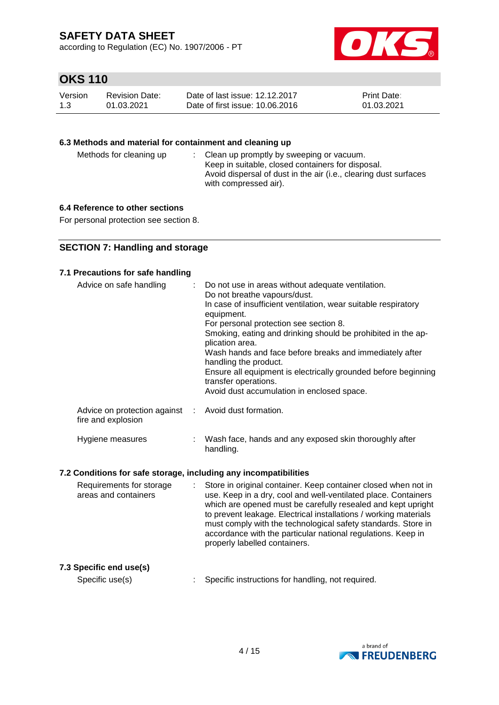according to Regulation (EC) No. 1907/2006 - PT



# **OKS 110**

| Version | Revision Date: | Date of last issue: 12.12.2017  | <b>Print Date:</b> |
|---------|----------------|---------------------------------|--------------------|
| 1.3     | 01.03.2021     | Date of first issue: 10.06.2016 | 01.03.2021         |

### **6.3 Methods and material for containment and cleaning up**

| Methods for cleaning up |  | : Clean up promptly by sweeping or vacuum.<br>Keep in suitable, closed containers for disposal.<br>Avoid dispersal of dust in the air (i.e., clearing dust surfaces<br>with compressed air). |
|-------------------------|--|----------------------------------------------------------------------------------------------------------------------------------------------------------------------------------------------|
|-------------------------|--|----------------------------------------------------------------------------------------------------------------------------------------------------------------------------------------------|

## **6.4 Reference to other sections**

For personal protection see section 8.

### **SECTION 7: Handling and storage**

### **7.1 Precautions for safe handling**

| Advice on safe handling                                                    | : Do not use in areas without adequate ventilation.<br>Do not breathe vapours/dust.<br>In case of insufficient ventilation, wear suitable respiratory<br>equipment.<br>For personal protection see section 8.<br>Smoking, eating and drinking should be prohibited in the ap-<br>plication area.<br>Wash hands and face before breaks and immediately after<br>handling the product.<br>Ensure all equipment is electrically grounded before beginning<br>transfer operations.<br>Avoid dust accumulation in enclosed space. |
|----------------------------------------------------------------------------|------------------------------------------------------------------------------------------------------------------------------------------------------------------------------------------------------------------------------------------------------------------------------------------------------------------------------------------------------------------------------------------------------------------------------------------------------------------------------------------------------------------------------|
| Advice on protection against : Avoid dust formation.<br>fire and explosion |                                                                                                                                                                                                                                                                                                                                                                                                                                                                                                                              |
| Hygiene measures                                                           | Wash face, hands and any exposed skin thoroughly after                                                                                                                                                                                                                                                                                                                                                                                                                                                                       |

### **7.2 Conditions for safe storage, including any incompatibilities**

| Requirements for storage<br>areas and containers |  | Store in original container. Keep container closed when not in<br>use. Keep in a dry, cool and well-ventilated place. Containers<br>which are opened must be carefully resealed and kept upright<br>to prevent leakage. Electrical installations / working materials<br>must comply with the technological safety standards. Store in<br>accordance with the particular national regulations. Keep in<br>properly labelled containers. |
|--------------------------------------------------|--|----------------------------------------------------------------------------------------------------------------------------------------------------------------------------------------------------------------------------------------------------------------------------------------------------------------------------------------------------------------------------------------------------------------------------------------|
|--------------------------------------------------|--|----------------------------------------------------------------------------------------------------------------------------------------------------------------------------------------------------------------------------------------------------------------------------------------------------------------------------------------------------------------------------------------------------------------------------------------|

handling.

### **7.3 Specific end use(s)**

Specific use(s) : Specific instructions for handling, not required.

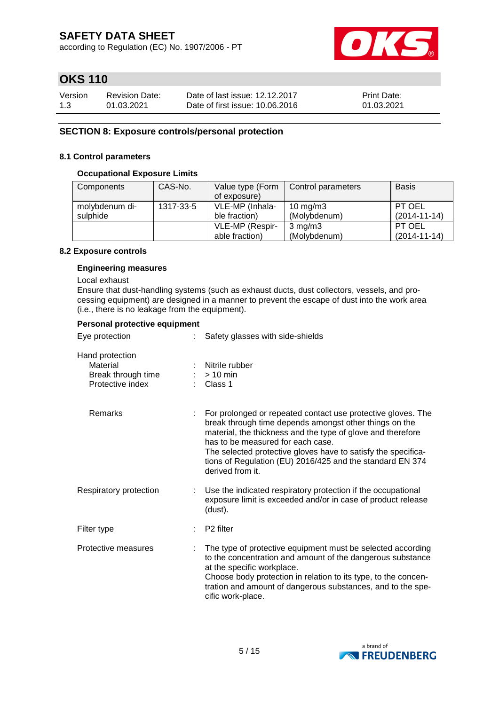according to Regulation (EC) No. 1907/2006 - PT



# **OKS 110**

| Version | Revision Date: | Date of last issue: 12.12.2017  | <b>Print Date:</b> |
|---------|----------------|---------------------------------|--------------------|
| 1.3     | 01.03.2021     | Date of first issue: 10.06.2016 | 01.03.2021         |

### **SECTION 8: Exposure controls/personal protection**

#### **8.1 Control parameters**

#### **Occupational Exposure Limits**

| Components     | CAS-No.   | Value type (Form | Control parameters | <b>Basis</b>       |
|----------------|-----------|------------------|--------------------|--------------------|
|                |           | of exposure)     |                    |                    |
| molybdenum di- | 1317-33-5 | VLE-MP (Inhala-  | $10 \text{ mg/m}$  | PT OEL             |
| sulphide       |           | ble fraction)    | (Molybdenum)       | $(2014 - 11 - 14)$ |
|                |           | VLE-MP (Respir-  | $3 \text{ mg/m}$   | PT OEL             |
|                |           | able fraction)   | (Molybdenum)       | $(2014 - 11 - 14)$ |

#### **8.2 Exposure controls**

#### **Engineering measures**

Local exhaust

Ensure that dust-handling systems (such as exhaust ducts, dust collectors, vessels, and processing equipment) are designed in a manner to prevent the escape of dust into the work area (i.e., there is no leakage from the equipment).

#### **Personal protective equipment**

| Eye protection                                                        | Safety glasses with side-shields                                                                                                                                                                                                                                                                                                                                             |
|-----------------------------------------------------------------------|------------------------------------------------------------------------------------------------------------------------------------------------------------------------------------------------------------------------------------------------------------------------------------------------------------------------------------------------------------------------------|
| Hand protection<br>Material<br>Break through time<br>Protective index | Nitrile rubber<br>$> 10$ min<br>Class 1                                                                                                                                                                                                                                                                                                                                      |
| Remarks                                                               | For prolonged or repeated contact use protective gloves. The<br>break through time depends amongst other things on the<br>material, the thickness and the type of glove and therefore<br>has to be measured for each case.<br>The selected protective gloves have to satisfy the specifica-<br>tions of Regulation (EU) 2016/425 and the standard EN 374<br>derived from it. |
| Respiratory protection                                                | Use the indicated respiratory protection if the occupational<br>exposure limit is exceeded and/or in case of product release<br>(dust).                                                                                                                                                                                                                                      |
| Filter type                                                           | P <sub>2</sub> filter                                                                                                                                                                                                                                                                                                                                                        |
| Protective measures                                                   | The type of protective equipment must be selected according<br>to the concentration and amount of the dangerous substance<br>at the specific workplace.<br>Choose body protection in relation to its type, to the concen-<br>tration and amount of dangerous substances, and to the spe-<br>cific work-place.                                                                |

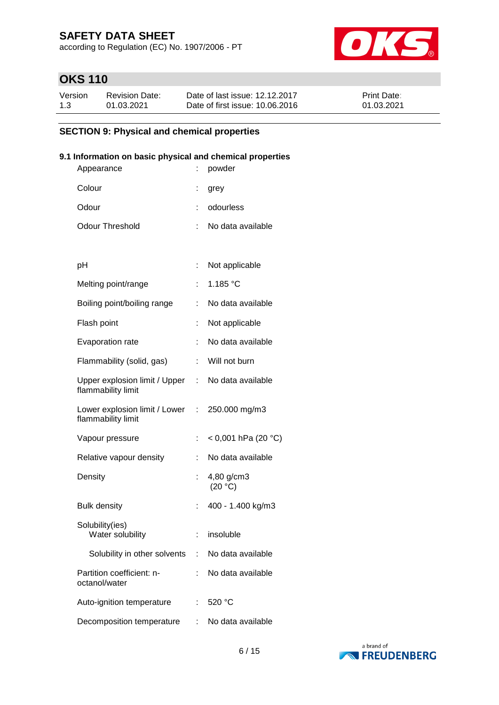according to Regulation (EC) No. 1907/2006 - PT



# **OKS 110**

| Version | <b>Revision Date:</b> | Date of last issue: 12.12.2017  | <b>Print Date:</b> |
|---------|-----------------------|---------------------------------|--------------------|
| 1.3     | 01.03.2021            | Date of first issue: 10.06.2016 | 01.03.2021         |

## **SECTION 9: Physical and chemical properties**

### **9.1 Information on basic physical and chemical properties**

| Appearance                                            |    | powder                |
|-------------------------------------------------------|----|-----------------------|
| Colour                                                |    | grey                  |
| Odour                                                 |    | odourless             |
| <b>Odour Threshold</b>                                | ÷  | No data available     |
|                                                       |    |                       |
| рH                                                    | t  | Not applicable        |
| Melting point/range                                   |    | 1.185 $°C$            |
| Boiling point/boiling range                           |    | No data available     |
| Flash point                                           |    | Not applicable        |
| Evaporation rate                                      | ÷. | No data available     |
| Flammability (solid, gas)                             | t. | Will not burn         |
| Upper explosion limit / Upper :<br>flammability limit |    | No data available     |
| Lower explosion limit / Lower :<br>flammability limit |    | 250.000 mg/m3         |
| Vapour pressure                                       | ÷  | < 0,001 hPa (20 °C)   |
| Relative vapour density                               |    | No data available     |
| Density                                               |    | 4,80 g/cm3<br>(20 °C) |
| <b>Bulk density</b>                                   | t  | 400 - 1.400 kg/m3     |
| Solubility(ies)<br>Water solubility                   | ÷. | insoluble             |
| Solubility in other solvents :                        |    | No data available     |
| Partition coefficient: n-<br>octanol/water            |    | No data available     |
| Auto-ignition temperature                             |    | 520 °C                |
| Decomposition temperature                             | ÷  | No data available     |

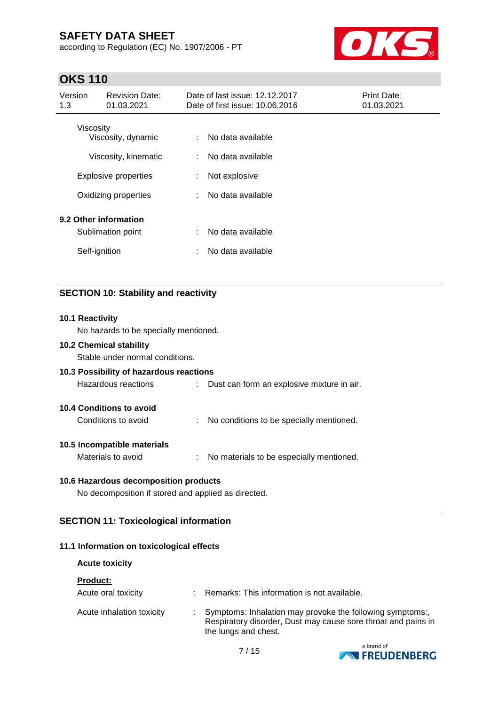according to Regulation (EC) No. 1907/2006 - PT



# **OKS 110**

| Version<br>1.3 | <b>Revision Date:</b><br>01.03.2021                 |        | Date of last issue: 12.12.2017<br>Date of first issue: 10.06.2016 | <b>Print Date:</b><br>01.03.2021 |
|----------------|-----------------------------------------------------|--------|-------------------------------------------------------------------|----------------------------------|
|                | <b>Viscosity</b><br>Viscosity, dynamic              | ÷.     | No data available                                                 |                                  |
|                | Viscosity, kinematic<br><b>Explosive properties</b> | ÷<br>÷ | No data available<br>Not explosive                                |                                  |
|                | Oxidizing properties                                | ÷      | No data available                                                 |                                  |
|                | 9.2 Other information<br>Sublimation point          | ÷      | No data available                                                 |                                  |
|                | Self-ignition                                       | ÷      | No data available                                                 |                                  |

## **SECTION 10: Stability and reactivity**

# **10.1 Reactivity** No hazards to be specially mentioned. **10.2 Chemical stability** Stable under normal conditions. **10.3 Possibility of hazardous reactions** Hazardous reactions : Dust can form an explosive mixture in air. **10.4 Conditions to avoid** Conditions to avoid : No conditions to be specially mentioned. **10.5 Incompatible materials** Materials to avoid : No materials to be especially mentioned. **10.6 Hazardous decomposition products** No decomposition if stored and applied as directed.

## **SECTION 11: Toxicological information**

### **11.1 Information on toxicological effects**

### **Acute toxicity**

| <b>Product:</b>           |                                                                                                                                                   |
|---------------------------|---------------------------------------------------------------------------------------------------------------------------------------------------|
| Acute oral toxicity       | Remarks: This information is not available.                                                                                                       |
| Acute inhalation toxicity | Symptoms: Inhalation may provoke the following symptoms:<br>Respiratory disorder, Dust may cause sore throat and pains in<br>the lungs and chest. |

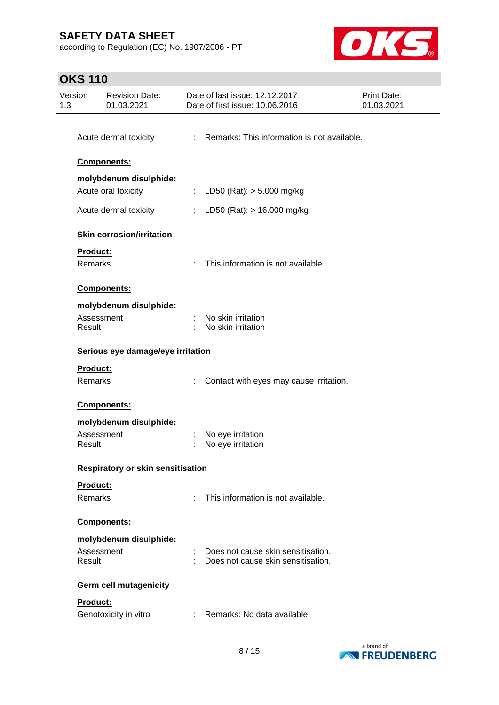according to Regulation (EC) No. 1907/2006 - PT



# **OKS 110**

| Version<br>1.3 | <b>Revision Date:</b><br>01.03.2021      |    | Date of last issue: 12.12.2017<br>Date of first issue: 10.06.2016          | Print Date:<br>01.03.2021 |  |  |  |  |
|----------------|------------------------------------------|----|----------------------------------------------------------------------------|---------------------------|--|--|--|--|
|                | Acute dermal toxicity                    |    | : Remarks: This information is not available.                              |                           |  |  |  |  |
|                | Components:                              |    |                                                                            |                           |  |  |  |  |
|                | molybdenum disulphide:                   |    |                                                                            |                           |  |  |  |  |
|                | Acute oral toxicity                      |    | : LD50 (Rat): $>$ 5.000 mg/kg                                              |                           |  |  |  |  |
|                | Acute dermal toxicity                    |    | : LD50 (Rat): $> 16.000$ mg/kg                                             |                           |  |  |  |  |
|                | <b>Skin corrosion/irritation</b>         |    |                                                                            |                           |  |  |  |  |
| Remarks        | Product:                                 | ÷. | This information is not available.                                         |                           |  |  |  |  |
|                | Components:                              |    |                                                                            |                           |  |  |  |  |
|                | molybdenum disulphide:                   |    |                                                                            |                           |  |  |  |  |
| Result         | Assessment                               |    | No skin irritation<br>No skin irritation                                   |                           |  |  |  |  |
|                | Serious eye damage/eye irritation        |    |                                                                            |                           |  |  |  |  |
|                | Product:<br><b>Remarks</b>               |    | Contact with eyes may cause irritation.                                    |                           |  |  |  |  |
|                | Components:                              |    |                                                                            |                           |  |  |  |  |
|                | molybdenum disulphide:                   |    |                                                                            |                           |  |  |  |  |
| Result         | Assessment                               |    | No eye irritation<br>No eye irritation                                     |                           |  |  |  |  |
|                | <b>Respiratory or skin sensitisation</b> |    |                                                                            |                           |  |  |  |  |
| Remarks        | Product:                                 |    | This information is not available.                                         |                           |  |  |  |  |
|                | Components:                              |    |                                                                            |                           |  |  |  |  |
|                | molybdenum disulphide:                   |    |                                                                            |                           |  |  |  |  |
| Result         | Assessment                               |    | Does not cause skin sensitisation.<br>: Does not cause skin sensitisation. |                           |  |  |  |  |
|                | <b>Germ cell mutagenicity</b>            |    |                                                                            |                           |  |  |  |  |
|                | Product:<br>Genotoxicity in vitro        |    | : Remarks: No data available                                               |                           |  |  |  |  |
|                |                                          |    |                                                                            |                           |  |  |  |  |

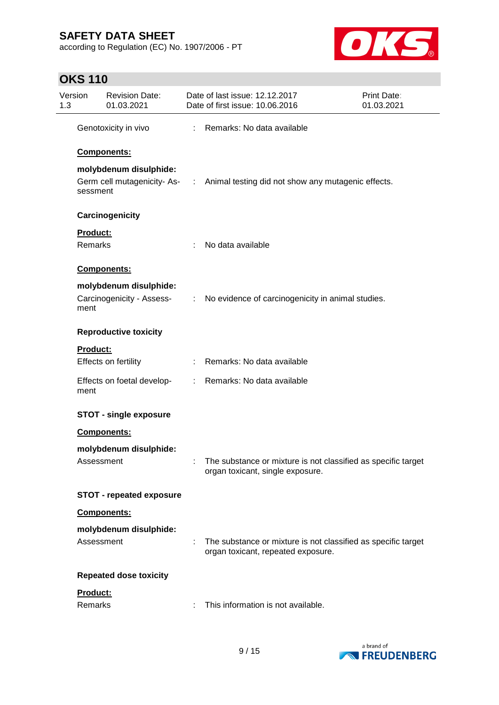according to Regulation (EC) No. 1907/2006 - PT



# **OKS 110**

| Version<br>1.3 |                            | <b>Revision Date:</b><br>01.03.2021  | Date of last issue: 12.12.2017<br>Date of first issue: 10.06.2016                                   | Print Date:<br>01.03.2021 |
|----------------|----------------------------|--------------------------------------|-----------------------------------------------------------------------------------------------------|---------------------------|
|                |                            | Genotoxicity in vivo                 | : Remarks: No data available                                                                        |                           |
|                |                            | <b>Components:</b>                   |                                                                                                     |                           |
|                |                            | molybdenum disulphide:               | Germ cell mutagenicity-As- : Animal testing did not show any mutagenic effects.                     |                           |
|                | sessment                   |                                      |                                                                                                     |                           |
|                |                            | Carcinogenicity                      |                                                                                                     |                           |
|                | <b>Product:</b><br>Remarks |                                      | No data available                                                                                   |                           |
|                |                            | Components:                          |                                                                                                     |                           |
|                |                            | molybdenum disulphide:               |                                                                                                     |                           |
|                | ment                       |                                      | Carcinogenicity - Assess- : No evidence of carcinogenicity in animal studies.                       |                           |
|                |                            | <b>Reproductive toxicity</b>         |                                                                                                     |                           |
|                | Product:                   |                                      |                                                                                                     |                           |
|                |                            | Effects on fertility                 | : Remarks: No data available                                                                        |                           |
|                | ment                       | Effects on foetal develop-           | : Remarks: No data available                                                                        |                           |
|                |                            | <b>STOT - single exposure</b>        |                                                                                                     |                           |
|                |                            | <b>Components:</b>                   |                                                                                                     |                           |
|                |                            | molybdenum disulphide:<br>Assessment | The substance or mixture is not classified as specific target<br>organ toxicant, single exposure.   |                           |
|                |                            | <b>STOT - repeated exposure</b>      |                                                                                                     |                           |
|                |                            | Components:                          |                                                                                                     |                           |
|                |                            | molybdenum disulphide:<br>Assessment | The substance or mixture is not classified as specific target<br>organ toxicant, repeated exposure. |                           |
|                |                            | <b>Repeated dose toxicity</b>        |                                                                                                     |                           |
|                | Product:<br>Remarks        |                                      | This information is not available.                                                                  |                           |

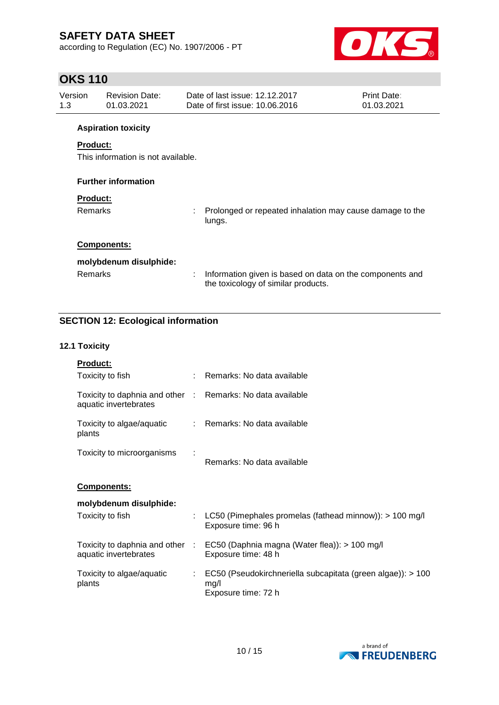according to Regulation (EC) No. 1907/2006 - PT



# **OKS 110**

| Version<br>1.3 | <b>Revision Date:</b><br>01.03.2021                   |    | Date of last issue: 12.12.2017<br>Date of first issue: 10.06.2016                               | Print Date:<br>01.03.2021 |
|----------------|-------------------------------------------------------|----|-------------------------------------------------------------------------------------------------|---------------------------|
|                | <b>Aspiration toxicity</b>                            |    |                                                                                                 |                           |
|                | <b>Product:</b><br>This information is not available. |    |                                                                                                 |                           |
|                | <b>Further information</b>                            |    |                                                                                                 |                           |
|                | <b>Product:</b>                                       |    |                                                                                                 |                           |
|                | Remarks                                               | ÷. | Prolonged or repeated inhalation may cause damage to the<br>lungs.                              |                           |
|                | <b>Components:</b>                                    |    |                                                                                                 |                           |
|                | molybdenum disulphide:                                |    |                                                                                                 |                           |
|                | Remarks                                               | ÷  | Information given is based on data on the components and<br>the toxicology of similar products. |                           |

# **SECTION 12: Ecological information**

### **12.1 Toxicity**

| Product:                                                                            |    |                                                                                            |
|-------------------------------------------------------------------------------------|----|--------------------------------------------------------------------------------------------|
| Toxicity to fish                                                                    |    | : Remarks: No data available                                                               |
| Toxicity to daphnia and other : Remarks: No data available<br>aquatic invertebrates |    |                                                                                            |
| Toxicity to algae/aquatic<br>plants                                                 |    | : Remarks: No data available                                                               |
| Toxicity to microorganisms                                                          |    | Remarks: No data available                                                                 |
| Components:                                                                         |    |                                                                                            |
| molybdenum disulphide:                                                              |    |                                                                                            |
| Toxicity to fish                                                                    | ÷. | LC50 (Pimephales promelas (fathead minnow)): $> 100$ mg/l<br>Exposure time: 96 h           |
| Toxicity to daphnia and other :<br>aquatic invertebrates                            |    | EC50 (Daphnia magna (Water flea)): > 100 mg/l<br>Exposure time: 48 h                       |
| Toxicity to algae/aquatic<br>plants                                                 | ÷. | EC50 (Pseudokirchneriella subcapitata (green algae)): > 100<br>mg/l<br>Exposure time: 72 h |

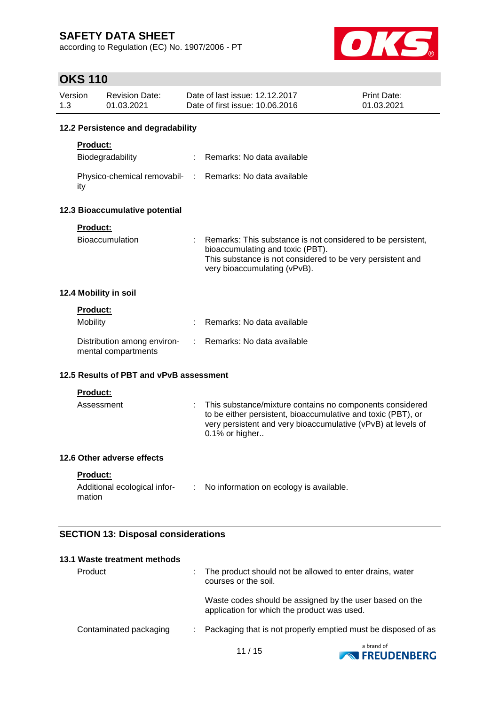according to Regulation (EC) No. 1907/2006 - PT



# **OKS 110**

| 12.2 Persistence and degradability<br><b>Product:</b><br>Remarks: No data available<br>Biodegradability<br>÷<br>Physico-chemical removabil- : Remarks: No data available<br>ity<br>Product:<br>Bioaccumulation<br>Remarks: This substance is not considered to be persistent,<br>bioaccumulating and toxic (PBT).<br>This substance is not considered to be very persistent and<br>very bioaccumulating (vPvB).<br><b>Product:</b><br>Mobility<br>Remarks: No data available<br>Distribution among environ-<br>Remarks: No data available<br>÷<br>mental compartments<br>Product: |                                                          |
|-----------------------------------------------------------------------------------------------------------------------------------------------------------------------------------------------------------------------------------------------------------------------------------------------------------------------------------------------------------------------------------------------------------------------------------------------------------------------------------------------------------------------------------------------------------------------------------|----------------------------------------------------------|
|                                                                                                                                                                                                                                                                                                                                                                                                                                                                                                                                                                                   |                                                          |
| 12.3 Bioaccumulative potential<br>12.4 Mobility in soil<br>12.5 Results of PBT and vPvB assessment                                                                                                                                                                                                                                                                                                                                                                                                                                                                                |                                                          |
|                                                                                                                                                                                                                                                                                                                                                                                                                                                                                                                                                                                   |                                                          |
|                                                                                                                                                                                                                                                                                                                                                                                                                                                                                                                                                                                   |                                                          |
|                                                                                                                                                                                                                                                                                                                                                                                                                                                                                                                                                                                   |                                                          |
|                                                                                                                                                                                                                                                                                                                                                                                                                                                                                                                                                                                   |                                                          |
|                                                                                                                                                                                                                                                                                                                                                                                                                                                                                                                                                                                   |                                                          |
|                                                                                                                                                                                                                                                                                                                                                                                                                                                                                                                                                                                   |                                                          |
|                                                                                                                                                                                                                                                                                                                                                                                                                                                                                                                                                                                   |                                                          |
|                                                                                                                                                                                                                                                                                                                                                                                                                                                                                                                                                                                   |                                                          |
|                                                                                                                                                                                                                                                                                                                                                                                                                                                                                                                                                                                   |                                                          |
|                                                                                                                                                                                                                                                                                                                                                                                                                                                                                                                                                                                   |                                                          |
|                                                                                                                                                                                                                                                                                                                                                                                                                                                                                                                                                                                   |                                                          |
| Assessment<br>to be either persistent, bioaccumulative and toxic (PBT), or<br>very persistent and very bioaccumulative (vPvB) at levels of<br>0.1% or higher                                                                                                                                                                                                                                                                                                                                                                                                                      | This substance/mixture contains no components considered |
| 12.6 Other adverse effects                                                                                                                                                                                                                                                                                                                                                                                                                                                                                                                                                        |                                                          |
| <b>Product:</b>                                                                                                                                                                                                                                                                                                                                                                                                                                                                                                                                                                   |                                                          |
| Additional ecological infor- : No information on ecology is available.<br>mation                                                                                                                                                                                                                                                                                                                                                                                                                                                                                                  |                                                          |
|                                                                                                                                                                                                                                                                                                                                                                                                                                                                                                                                                                                   |                                                          |
| <b>SECTION 13: Disposal considerations</b>                                                                                                                                                                                                                                                                                                                                                                                                                                                                                                                                        |                                                          |

| Product                | The product should not be allowed to enter drains, water<br>courses or the soil.                       |
|------------------------|--------------------------------------------------------------------------------------------------------|
|                        | Waste codes should be assigned by the user based on the<br>application for which the product was used. |
| Contaminated packaging | : Packaging that is not properly emptied must be disposed of as                                        |
|                        | عداده محماحا                                                                                           |

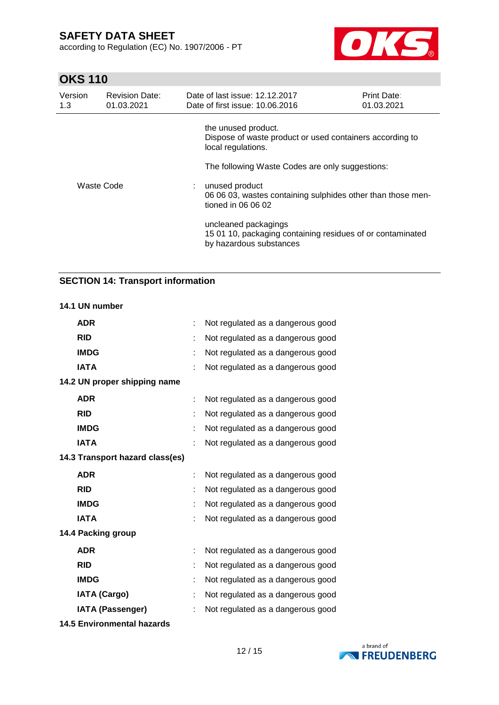according to Regulation (EC) No. 1907/2006 - PT



# **OKS 110**

| Version<br>1.3 | <b>Revision Date:</b><br>01.03.2021 | Date of last issue: 12.12.2017<br>Date of first issue: 10.06.2016                                             | <b>Print Date:</b><br>01.03.2021                |  |  |  |  |
|----------------|-------------------------------------|---------------------------------------------------------------------------------------------------------------|-------------------------------------------------|--|--|--|--|
|                |                                     | the unused product.<br>Dispose of waste product or used containers according to<br>local regulations.         |                                                 |  |  |  |  |
| Waste Code     |                                     |                                                                                                               | The following Waste Codes are only suggestions: |  |  |  |  |
|                |                                     | : unused product<br>06 06 03, wastes containing sulphides other than those men-<br>tioned in 06 06 02         |                                                 |  |  |  |  |
|                |                                     | uncleaned packagings<br>15 01 10, packaging containing residues of or contaminated<br>by hazardous substances |                                                 |  |  |  |  |

## **SECTION 14: Transport information**

#### **14.1 UN number**

| <b>ADR</b>                        | ÷ | Not regulated as a dangerous good |
|-----------------------------------|---|-----------------------------------|
| <b>RID</b>                        |   | Not regulated as a dangerous good |
| <b>IMDG</b>                       |   | Not regulated as a dangerous good |
| <b>IATA</b>                       |   | Not regulated as a dangerous good |
| 14.2 UN proper shipping name      |   |                                   |
| <b>ADR</b>                        |   | Not regulated as a dangerous good |
| <b>RID</b>                        |   | Not regulated as a dangerous good |
| <b>IMDG</b>                       |   | Not regulated as a dangerous good |
| <b>IATA</b>                       |   | Not regulated as a dangerous good |
| 14.3 Transport hazard class(es)   |   |                                   |
| <b>ADR</b>                        |   | Not regulated as a dangerous good |
| <b>RID</b>                        |   | Not regulated as a dangerous good |
| <b>IMDG</b>                       |   | Not regulated as a dangerous good |
| <b>IATA</b>                       | ÷ | Not regulated as a dangerous good |
| 14.4 Packing group                |   |                                   |
| <b>ADR</b>                        |   | Not regulated as a dangerous good |
| <b>RID</b>                        |   | Not regulated as a dangerous good |
| <b>IMDG</b>                       |   | Not regulated as a dangerous good |
| <b>IATA (Cargo)</b>               |   | Not regulated as a dangerous good |
| <b>IATA (Passenger)</b>           |   | Not regulated as a dangerous good |
| <b>14.5 Environmental hazards</b> |   |                                   |

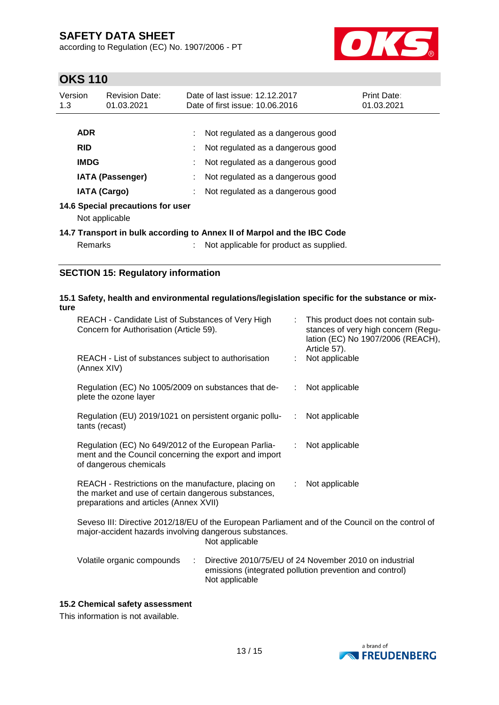according to Regulation (EC) No. 1907/2006 - PT



# **OKS 110**

| Version<br>1.3                                      | <b>Revision Date:</b><br>01.03.2021 | Date of last issue: 12.12.2017<br>Date of first issue: 10.06.2016 | Print Date:<br>01.03.2021 |
|-----------------------------------------------------|-------------------------------------|-------------------------------------------------------------------|---------------------------|
| <b>ADR</b>                                          |                                     | Not regulated as a dangerous good                                 |                           |
| <b>RID</b>                                          |                                     | Not regulated as a dangerous good                                 |                           |
| <b>IMDG</b>                                         |                                     | Not regulated as a dangerous good                                 |                           |
| <b>IATA (Passenger)</b>                             |                                     | Not regulated as a dangerous good                                 |                           |
| <b>IATA (Cargo)</b>                                 |                                     | Not regulated as a dangerous good                                 |                           |
| 14.6 Special precautions for user<br>Not applicable |                                     |                                                                   |                           |

**14.7 Transport in bulk according to Annex II of Marpol and the IBC Code** Remarks : Not applicable for product as supplied.

## **SECTION 15: Regulatory information**

### **15.1 Safety, health and environmental regulations/legislation specific for the substance or mixture**

| REACH - Candidate List of Substances of Very High<br>Concern for Authorisation (Article 59).                                                         | : This product does not contain sub-<br>stances of very high concern (Regu-<br>lation (EC) No 1907/2006 (REACH),<br>Article 57). |
|------------------------------------------------------------------------------------------------------------------------------------------------------|----------------------------------------------------------------------------------------------------------------------------------|
| REACH - List of substances subject to authorisation<br>(Annex XIV)                                                                                   | Not applicable                                                                                                                   |
| Regulation (EC) No 1005/2009 on substances that de-<br>plete the ozone layer                                                                         | : Not applicable                                                                                                                 |
| Regulation (EU) 2019/1021 on persistent organic pollu-<br>tants (recast)                                                                             | $:$ Not applicable                                                                                                               |
| Regulation (EC) No 649/2012 of the European Parlia-<br>ment and the Council concerning the export and import<br>of dangerous chemicals               | Not applicable<br>÷.                                                                                                             |
| REACH - Restrictions on the manufacture, placing on<br>the market and use of certain dangerous substances,<br>preparations and articles (Annex XVII) | : Not applicable                                                                                                                 |
| Seveso III: Directive 2012/18/EU of the European Parliament and of the Council on the control of                                                     |                                                                                                                                  |

major-accident hazards involving dangerous substances. Not applicable

| Volatile organic compounds | Directive 2010/75/EU of 24 November 2010 on industrial  |
|----------------------------|---------------------------------------------------------|
|                            | emissions (integrated pollution prevention and control) |
|                            | Not applicable                                          |

### **15.2 Chemical safety assessment**

This information is not available.

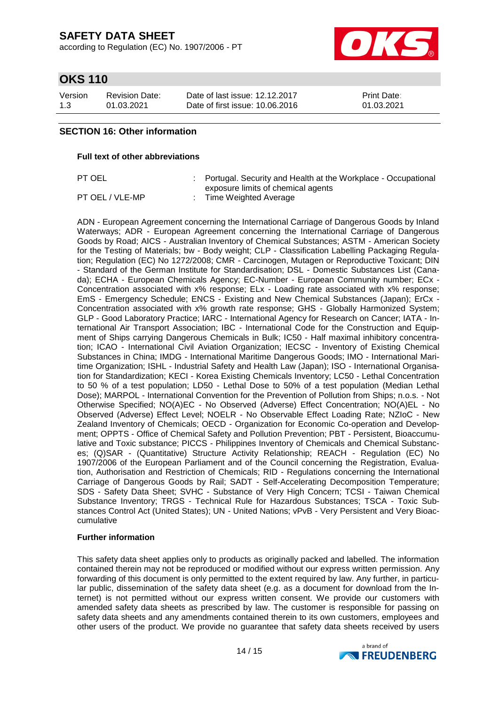according to Regulation (EC) No. 1907/2006 - PT



# **OKS 110**

| Version | <b>Revision Date:</b> | Date of last issue: 12.12.2017  | <b>Print Date:</b> |
|---------|-----------------------|---------------------------------|--------------------|
| 1.3     | 01.03.2021            | Date of first issue: 10.06.2016 | 01.03.2021         |

### **SECTION 16: Other information**

#### **Full text of other abbreviations**

PT OEL : Portugal. Security and Health at the Workplace - Occupational exposure limits of chemical agents PT OEL / VLE-MP : Time Weighted Average

ADN - European Agreement concerning the International Carriage of Dangerous Goods by Inland Waterways; ADR - European Agreement concerning the International Carriage of Dangerous Goods by Road; AICS - Australian Inventory of Chemical Substances; ASTM - American Society for the Testing of Materials; bw - Body weight; CLP - Classification Labelling Packaging Regulation; Regulation (EC) No 1272/2008; CMR - Carcinogen, Mutagen or Reproductive Toxicant; DIN - Standard of the German Institute for Standardisation; DSL - Domestic Substances List (Canada); ECHA - European Chemicals Agency; EC-Number - European Community number; ECx - Concentration associated with x% response; ELx - Loading rate associated with x% response; EmS - Emergency Schedule; ENCS - Existing and New Chemical Substances (Japan); ErCx - Concentration associated with x% growth rate response; GHS - Globally Harmonized System; GLP - Good Laboratory Practice; IARC - International Agency for Research on Cancer; IATA - International Air Transport Association; IBC - International Code for the Construction and Equipment of Ships carrying Dangerous Chemicals in Bulk; IC50 - Half maximal inhibitory concentration; ICAO - International Civil Aviation Organization; IECSC - Inventory of Existing Chemical Substances in China; IMDG - International Maritime Dangerous Goods; IMO - International Maritime Organization; ISHL - Industrial Safety and Health Law (Japan); ISO - International Organisation for Standardization; KECI - Korea Existing Chemicals Inventory; LC50 - Lethal Concentration to 50 % of a test population; LD50 - Lethal Dose to 50% of a test population (Median Lethal Dose); MARPOL - International Convention for the Prevention of Pollution from Ships; n.o.s. - Not Otherwise Specified; NO(A)EC - No Observed (Adverse) Effect Concentration; NO(A)EL - No Observed (Adverse) Effect Level; NOELR - No Observable Effect Loading Rate; NZIoC - New Zealand Inventory of Chemicals; OECD - Organization for Economic Co-operation and Development; OPPTS - Office of Chemical Safety and Pollution Prevention; PBT - Persistent, Bioaccumulative and Toxic substance; PICCS - Philippines Inventory of Chemicals and Chemical Substances; (Q)SAR - (Quantitative) Structure Activity Relationship; REACH - Regulation (EC) No 1907/2006 of the European Parliament and of the Council concerning the Registration, Evaluation, Authorisation and Restriction of Chemicals; RID - Regulations concerning the International Carriage of Dangerous Goods by Rail; SADT - Self-Accelerating Decomposition Temperature; SDS - Safety Data Sheet; SVHC - Substance of Very High Concern; TCSI - Taiwan Chemical Substance Inventory; TRGS - Technical Rule for Hazardous Substances; TSCA - Toxic Substances Control Act (United States); UN - United Nations; vPvB - Very Persistent and Very Bioaccumulative

### **Further information**

This safety data sheet applies only to products as originally packed and labelled. The information contained therein may not be reproduced or modified without our express written permission. Any forwarding of this document is only permitted to the extent required by law. Any further, in particular public, dissemination of the safety data sheet (e.g. as a document for download from the Internet) is not permitted without our express written consent. We provide our customers with amended safety data sheets as prescribed by law. The customer is responsible for passing on safety data sheets and any amendments contained therein to its own customers, employees and other users of the product. We provide no guarantee that safety data sheets received by users